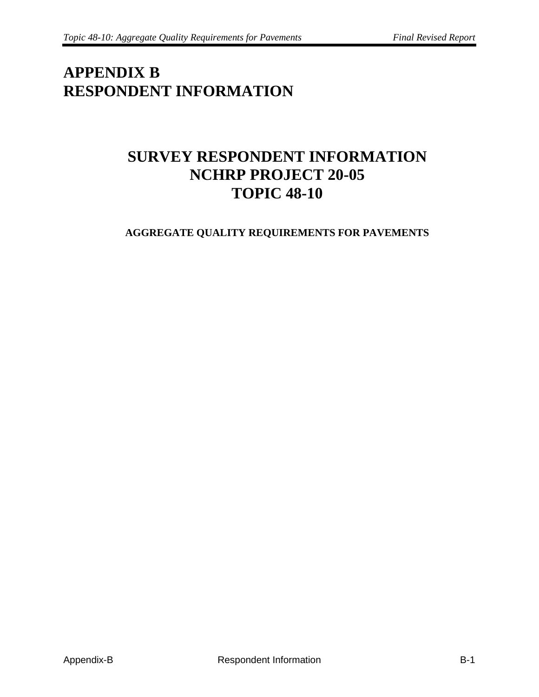## **APPENDIX B RESPONDENT INFORMATION**

## **SURVEY RESPONDENT INFORMATION NCHRP PROJECT 20-05 TOPIC 48-10**

## **AGGREGATE QUALITY REQUIREMENTS FOR PAVEMENTS**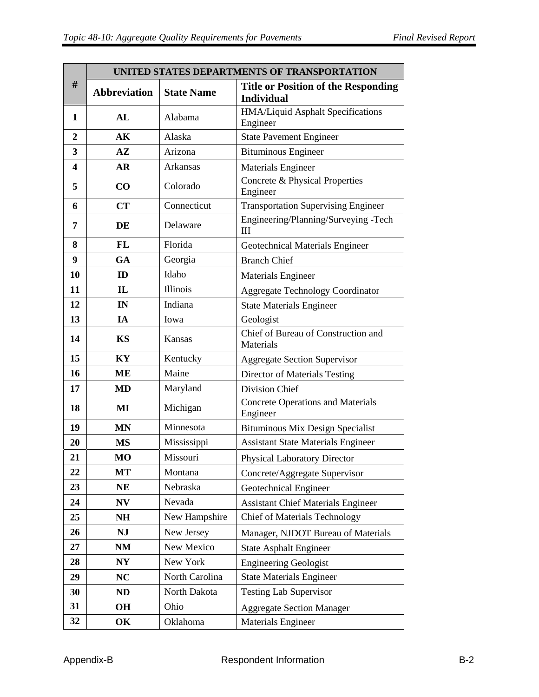| #                | UNITED STATES DEPARTMENTS OF TRANSPORTATION |                   |                                                                 |  |
|------------------|---------------------------------------------|-------------------|-----------------------------------------------------------------|--|
|                  | <b>Abbreviation</b>                         | <b>State Name</b> | <b>Title or Position of the Responding</b><br><b>Individual</b> |  |
| 1                | AL                                          | Alabama           | HMA/Liquid Asphalt Specifications<br>Engineer                   |  |
| $\boldsymbol{2}$ | AK                                          | Alaska            | <b>State Pavement Engineer</b>                                  |  |
| 3                | $A\mathbf{Z}$                               | Arizona           | <b>Bituminous Engineer</b>                                      |  |
| $\boldsymbol{4}$ | <b>AR</b>                                   | Arkansas          | Materials Engineer                                              |  |
| 5                | CO                                          | Colorado          | Concrete & Physical Properties<br>Engineer                      |  |
| 6                | CT                                          | Connecticut       | <b>Transportation Supervising Engineer</b>                      |  |
| 7                | DE                                          | Delaware          | Engineering/Planning/Surveying -Tech<br>Ш                       |  |
| 8                | <b>FL</b>                                   | Florida           | Geotechnical Materials Engineer                                 |  |
| 9                | GA                                          | Georgia           | <b>Branch Chief</b>                                             |  |
| 10               | ID                                          | Idaho             | <b>Materials Engineer</b>                                       |  |
| 11               | $\mathbf{L}$                                | Illinois          | <b>Aggregate Technology Coordinator</b>                         |  |
| 12               | IN                                          | Indiana           | <b>State Materials Engineer</b>                                 |  |
| 13               | IA                                          | Iowa              | Geologist                                                       |  |
| 14               | <b>KS</b>                                   | Kansas            | Chief of Bureau of Construction and<br>Materials                |  |
| 15               | KY                                          | Kentucky          | <b>Aggregate Section Supervisor</b>                             |  |
| 16               | ME                                          | Maine             | Director of Materials Testing                                   |  |
| 17               | <b>MD</b>                                   | Maryland          | Division Chief                                                  |  |
| 18               | MI                                          | Michigan          | <b>Concrete Operations and Materials</b><br>Engineer            |  |
| 19               | <b>MN</b>                                   | Minnesota         | Bituminous Mix Design Specialist                                |  |
| 20               | <b>MS</b>                                   | Mississippi       | <b>Assistant State Materials Engineer</b>                       |  |
| 21               | <b>MO</b>                                   | Missouri          | <b>Physical Laboratory Director</b>                             |  |
| 22               | MT                                          | Montana           | Concrete/Aggregate Supervisor                                   |  |
| 23               | NE                                          | Nebraska          | Geotechnical Engineer                                           |  |
| 24               | NV                                          | Nevada            | <b>Assistant Chief Materials Engineer</b>                       |  |
| 25               | NH                                          | New Hampshire     | <b>Chief of Materials Technology</b>                            |  |
| 26               | <b>NJ</b>                                   | New Jersey        | Manager, NJDOT Bureau of Materials                              |  |
| 27               | <b>NM</b>                                   | New Mexico        | <b>State Asphalt Engineer</b>                                   |  |
| 28               | N <sub>Y</sub>                              | New York          | <b>Engineering Geologist</b>                                    |  |
| 29               | NC                                          | North Carolina    | <b>State Materials Engineer</b>                                 |  |
| 30               | ND                                          | North Dakota      | <b>Testing Lab Supervisor</b>                                   |  |
| 31               | OН                                          | Ohio              | <b>Aggregate Section Manager</b>                                |  |
| 32               | OK                                          | Oklahoma          | <b>Materials Engineer</b>                                       |  |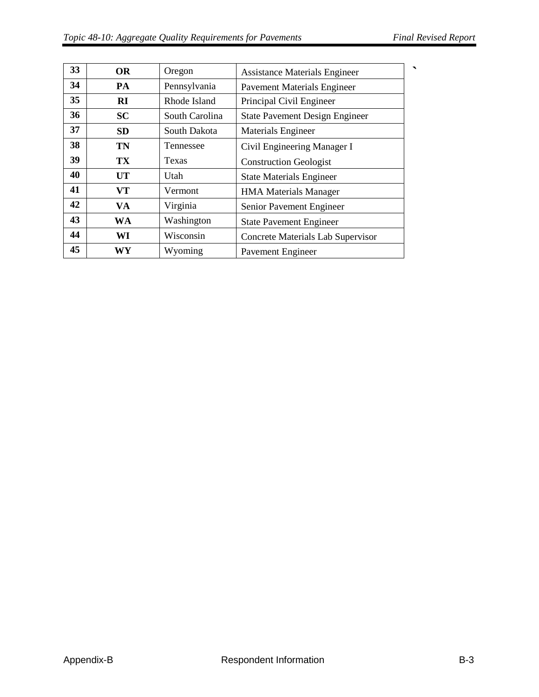| 33 | <b>OR</b> | Oregon         | <b>Assistance Materials Engineer</b>  |  |
|----|-----------|----------------|---------------------------------------|--|
| 34 | <b>PA</b> | Pennsylvania   | <b>Pavement Materials Engineer</b>    |  |
| 35 | RI        | Rhode Island   | Principal Civil Engineer              |  |
| 36 | <b>SC</b> | South Carolina | <b>State Pavement Design Engineer</b> |  |
| 37 | <b>SD</b> | South Dakota   | <b>Materials Engineer</b>             |  |
| 38 | <b>TN</b> | Tennessee      | Civil Engineering Manager I           |  |
| 39 | TX        | Texas          | <b>Construction Geologist</b>         |  |
| 40 | <b>UT</b> | Utah           | <b>State Materials Engineer</b>       |  |
| 41 | VT        | Vermont        | <b>HMA Materials Manager</b>          |  |
| 42 | VA.       | Virginia       | Senior Pavement Engineer              |  |
| 43 | <b>WA</b> | Washington     | <b>State Pavement Engineer</b>        |  |
| 44 | WI        | Wisconsin      | Concrete Materials Lab Supervisor     |  |
| 45 | WY        | Wyoming        | <b>Pavement Engineer</b>              |  |